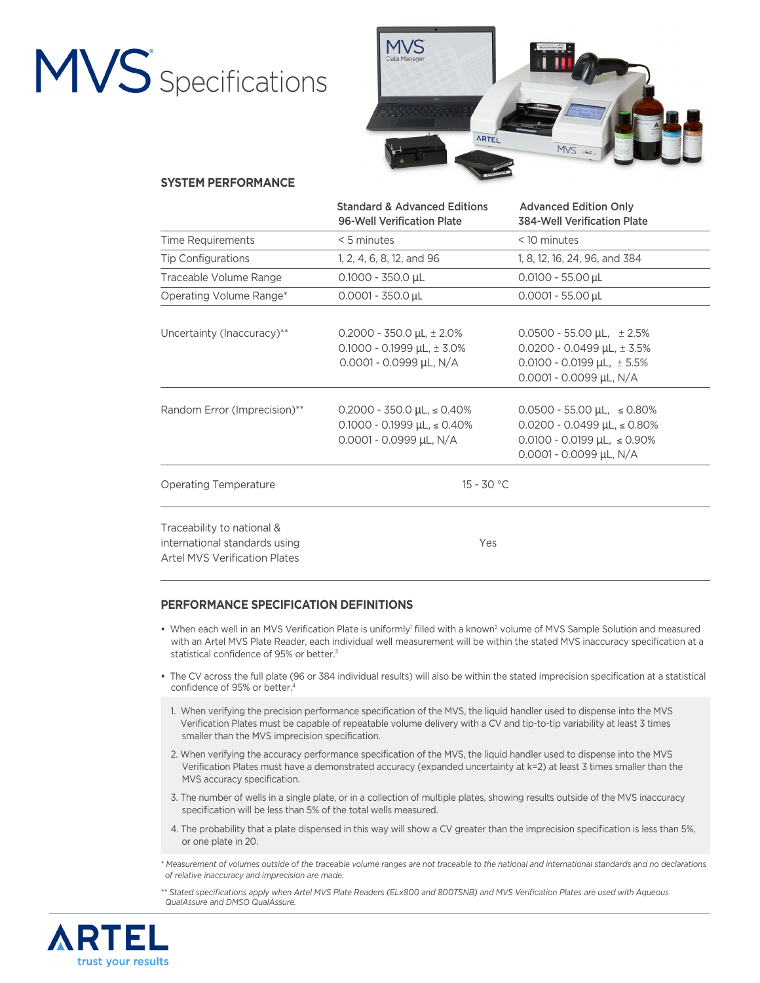# MVS<sup>Specifications</sup>



### **SYSTEM PERFORMANCE**

|                                                                                                     | <b>Standard &amp; Advanced Editions</b><br>96-Well Verification Plate                                | <b>Advanced Edition Only</b><br><b>384-Well Verification Plate</b>                                                                               |
|-----------------------------------------------------------------------------------------------------|------------------------------------------------------------------------------------------------------|--------------------------------------------------------------------------------------------------------------------------------------------------|
| <b>Time Requirements</b>                                                                            | $< 5$ minutes                                                                                        | < 10 minutes                                                                                                                                     |
| <b>Tip Configurations</b>                                                                           | 1, 2, 4, 6, 8, 12, and 96                                                                            | 1, 8, 12, 16, 24, 96, and 384                                                                                                                    |
| Traceable Volume Range                                                                              | $0.1000 - 350.0 \mu L$                                                                               | $0.0100 - 55.00 \mu L$                                                                                                                           |
| Operating Volume Range*                                                                             | $0.0001 - 350.0 \,\mu L$                                                                             | $0.0001 - 55.00 \mu L$                                                                                                                           |
| Uncertainty (Inaccuracy)**                                                                          | $0.2000 - 350.0 \mu L$ , $\pm 2.0\%$<br>$0.1000 - 0.1999$ µL, $\pm 3.0\%$<br>0.0001 - 0.0999 µL, N/A | $0.0500 - 55.00 \mu L$ , $\pm 2.5\%$<br>0.0200 - 0.0499 µL, $\pm$ 3.5%<br>$0.0100 - 0.0199$ µL, $\pm 5.5\%$<br>0.0001 - 0.0099 µL, N/A           |
| Random Error (Imprecision)**                                                                        | $0.2000 - 350.0 \mu L \le 0.40\%$<br>$0.1000 - 0.1999 \mu L \le 0.40\%$<br>0.0001 - 0.0999 µL, N/A   | $0.0500 - 55.00 \mu L$ , $\le 0.80\%$<br>$0.0200 - 0.0499$ µL, $\le 0.80\%$<br>$0.0100 - 0.0199 \mu L$ , $\le 0.90\%$<br>0.0001 - 0.0099 µL, N/A |
| <b>Operating Temperature</b>                                                                        | $15 - 30 °C$                                                                                         |                                                                                                                                                  |
| Traceability to national &<br>international standards using<br><b>Artel MVS Verification Plates</b> | Yes                                                                                                  |                                                                                                                                                  |

#### **PERFORMANCE SPECIFICATION DEFINITIONS**

- When each well in an MVS Verification Plate is uniformly<sup>1</sup> filled with a known<sup>2</sup> volume of MVS Sample Solution and measured with an Artel MVS Plate Reader, each individual well measurement will be within the stated MVS inaccuracy specification at a statistical confidence of 95% or better.3
- The CV across the full plate (96 or 384 individual results) will also be within the stated imprecision specification at a statistical confidence of 95% or better.4
- 1. When verifying the precision performance specification of the MVS, the liquid handler used to dispense into the MVS Verification Plates must be capable of repeatable volume delivery with a CV and tip-to-tip variability at least 3 times smaller than the MVS imprecision specification.
- 2. When verifying the accuracy performance specification of the MVS, the liquid handler used to dispense into the MVS Verification Plates must have a demonstrated accuracy (expanded uncertainty at k=2) at least 3 times smaller than the MVS accuracy specification.
- 3. The number of wells in a single plate, or in a collection of multiple plates, showing results outside of the MVS inaccuracy specification will be less than 5% of the total wells measured.
- 4. The probability that a plate dispensed in this way will show a CV greater than the imprecision specification is less than 5%, or one plate in 20.

*\* Measurement of volumes outside of the traceable volume ranges are not traceable to the national and international standards and no declarations of relative inaccuracy and imprecision are made.*

*\*\* Stated specifications apply when Artel MVS Plate Readers (ELx800 and 800TSNB) and MVS Verification Plates are used with Aqueous QualAssure and DMSO QualAssure.* 

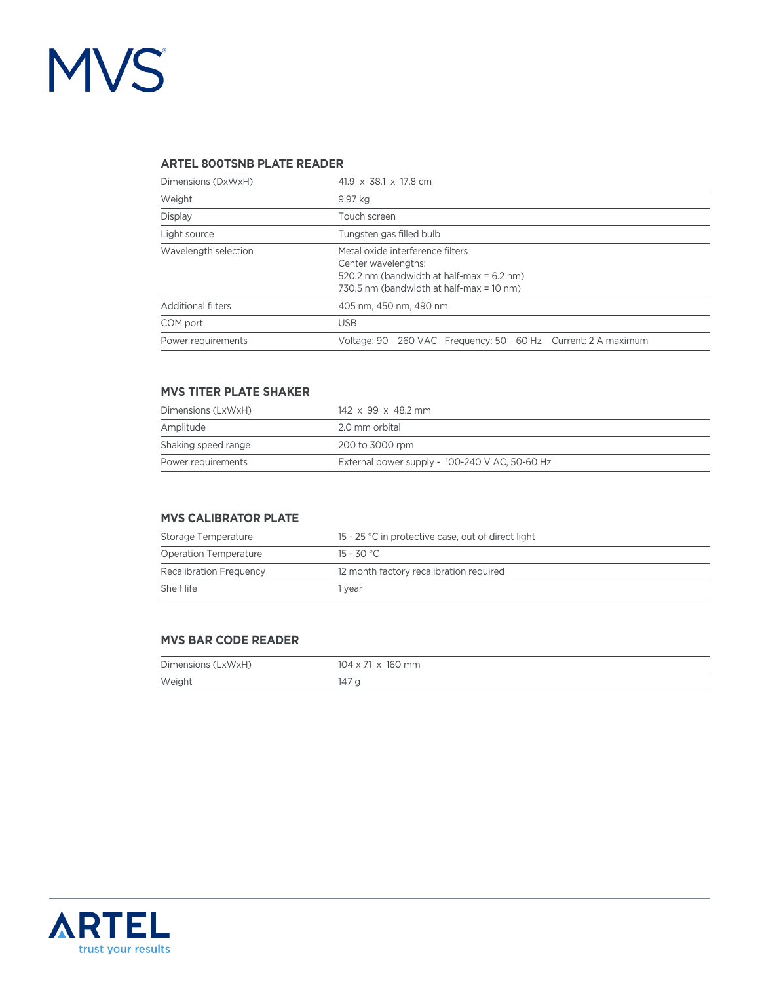# MVS<sup>®</sup>

# **ARTEL 800TSNB PLATE READER**

| Dimensions (DxWxH)        | 41.9 $\times$ 38.1 $\times$ 17.8 cm                                                                                                              |  |
|---------------------------|--------------------------------------------------------------------------------------------------------------------------------------------------|--|
| Weight                    | 9.97 kg                                                                                                                                          |  |
| Display                   | Touch screen                                                                                                                                     |  |
| Light source              | Tungsten gas filled bulb                                                                                                                         |  |
| Wavelength selection      | Metal oxide interference filters<br>Center wavelengths:<br>520.2 nm (bandwidth at half-max = 6.2 nm)<br>730.5 nm (bandwidth at half-max = 10 nm) |  |
| <b>Additional filters</b> | 405 nm, 450 nm, 490 nm                                                                                                                           |  |
| COM port                  | <b>USB</b>                                                                                                                                       |  |
| Power requirements        | Voltage: 90 - 260 VAC Frequency: 50 - 60 Hz Current: 2 A maximum                                                                                 |  |

# **MVS TITER PLATE SHAKER**

| Dimensions (LxWxH)  | $142 \times 99 \times 48.2$ mm                 |
|---------------------|------------------------------------------------|
| Amplitude           | 2.0 mm orbital                                 |
| Shaking speed range | 200 to 3000 rpm                                |
| Power requirements  | External power supply - 100-240 V AC, 50-60 Hz |

### **MVS CALIBRATOR PLATE**

| Storage Temperature            | 15 - 25 °C in protective case, out of direct light |  |
|--------------------------------|----------------------------------------------------|--|
| <b>Operation Temperature</b>   | 15 - 30 °C.                                        |  |
| <b>Recalibration Frequency</b> | 12 month factory recalibration required            |  |
| Shelf life                     | vear                                               |  |

#### **MVS BAR CODE READER**

| Dimensions (LxWxH) | $104 \times 71 \times 160$ mm |
|--------------------|-------------------------------|
| Weight             | 147 a                         |

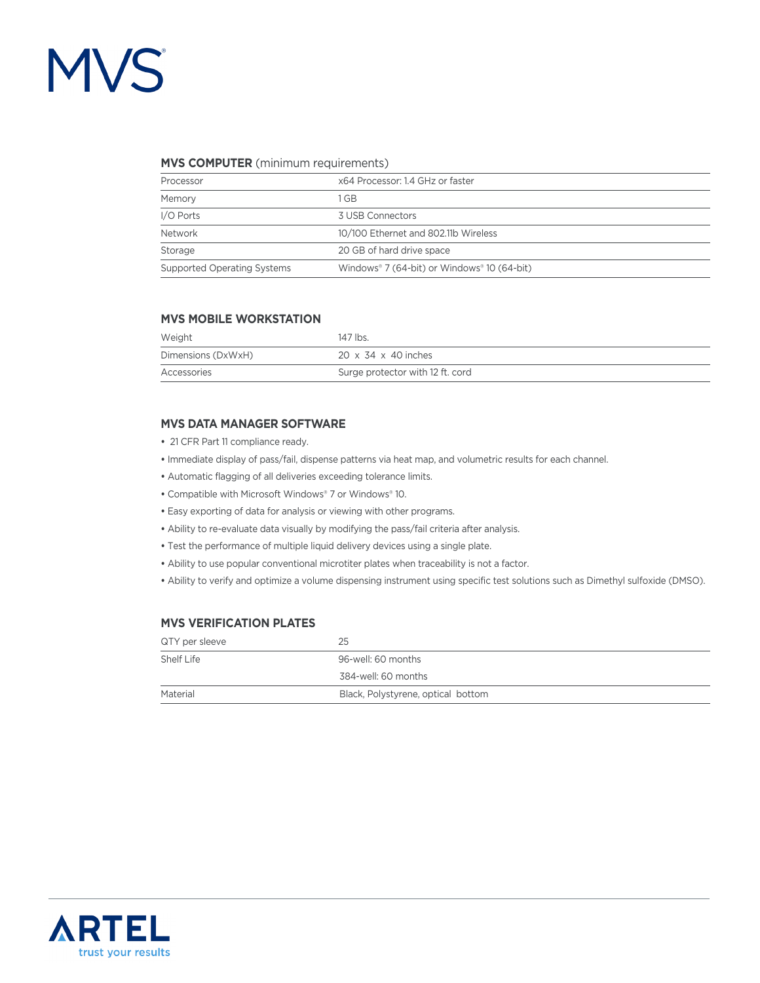# **MVS**

#### **MVS COMPUTER** (minimum requirements)

| Processor                          | x64 Processor: 1.4 GHz or faster            |
|------------------------------------|---------------------------------------------|
| Memory                             | GB                                          |
| I/O Ports                          | 3 USB Connectors                            |
| Network                            | 10/100 Ethernet and 802.11b Wireless        |
| Storage                            | 20 GB of hard drive space                   |
| <b>Supported Operating Systems</b> | Windows® 7 (64-bit) or Windows® 10 (64-bit) |

#### **MVS MOBILE WORKSTATION**

| Weight             | 147 lbs.                         |
|--------------------|----------------------------------|
| Dimensions (DxWxH) | $20 \times 34 \times 40$ inches  |
| Accessories        | Surge protector with 12 ft. cord |

#### **MVS DATA MANAGER SOFTWARE**

- 21 CFR Part 11 compliance ready.
- Immediate display of pass/fail, dispense patterns via heat map, and volumetric results for each channel.
- Automatic flagging of all deliveries exceeding tolerance limits.
- Compatible with Microsoft Windows® 7 or Windows® 10.
- Easy exporting of data for analysis or viewing with other programs.
- Ability to re-evaluate data visually by modifying the pass/fail criteria after analysis.
- Test the performance of multiple liquid delivery devices using a single plate.
- Ability to use popular conventional microtiter plates when traceability is not a factor.
- Ability to verify and optimize a volume dispensing instrument using specific test solutions such as Dimethyl sulfoxide (DMSO).

### **MVS VERIFICATION PLATES**

| QTY per sleeve | 25                                 |
|----------------|------------------------------------|
| Shelf Life     | 96-well: 60 months                 |
|                | 384-well: 60 months                |
| Material       | Black, Polystyrene, optical bottom |